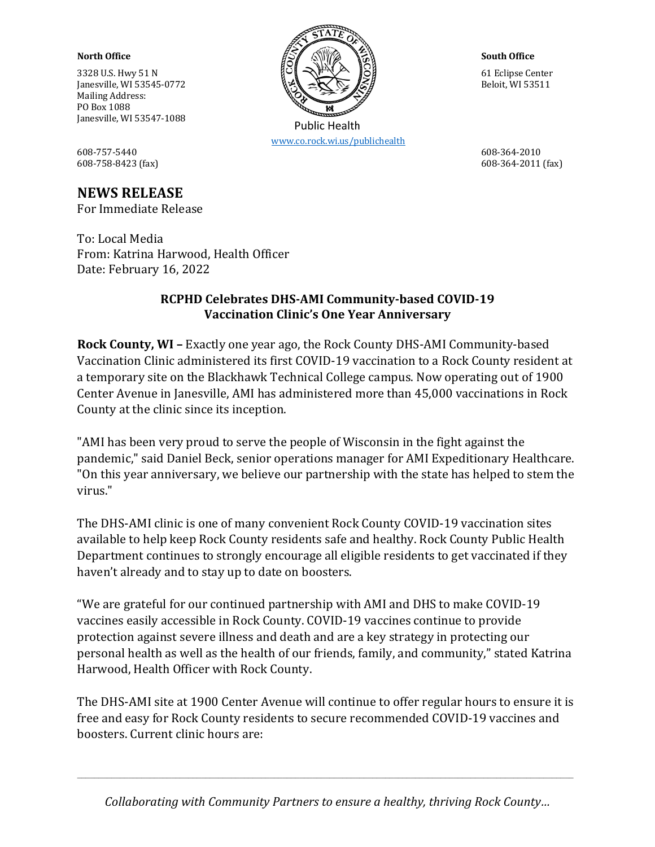$3328 \text{ U.S.}$  Hwy 51 N Ianesville, WI 53545-0772  $\mathbb{R} \rtimes \mathbb{R} \simeq \mathbb{R} \rtimes \mathbb{S}$   $\mathbb{R} \rtimes \mathbb{R}$ Mailing Address: PO Box 1088 Janesville, WI 53547-1088

608-757-5440 608-364-2010 608-758-8423 (fax) 608-364-2011 (fax)

## **NEWS RELEASE**

For Immediate Release

To: Local Media From: Katrina Harwood, Health Officer Date: February 16, 2022

## **RCPHD Celebrates DHS-AMI Community-based COVID-19 Vaccination Clinic's One Year Anniversary**

**Rock County, WI - Exactly one year ago, the Rock County DHS-AMI Community-based** Vaccination Clinic administered its first COVID-19 vaccination to a Rock County resident at a temporary site on the Blackhawk Technical College campus. Now operating out of 1900 Center Avenue in Janesville, AMI has administered more than 45,000 vaccinations in Rock County at the clinic since its inception.

"AMI has been very proud to serve the people of Wisconsin in the fight against the pandemic," said Daniel Beck, senior operations manager for AMI Expeditionary Healthcare. "On this year anniversary, we believe our partnership with the state has helped to stem the virus."

The DHS-AMI clinic is one of many convenient Rock County COVID-19 vaccination sites available to help keep Rock County residents safe and healthy. Rock County Public Health Department continues to strongly encourage all eligible residents to get vaccinated if they haven't already and to stay up to date on boosters.

"We are grateful for our continued partnership with AMI and DHS to make COVID-19 vaccines easily accessible in Rock County. COVID-19 vaccines continue to provide protection against severe illness and death and are a key strategy in protecting our personal health as well as the health of our friends, family, and community," stated Katrina Harwood, Health Officer with Rock County.

The DHS-AMI site at 1900 Center Avenue will continue to offer regular hours to ensure it is free and easy for Rock County residents to secure recommended COVID-19 vaccines and boosters. Current clinic hours are:





 www.co.rock.wi.us/publichealth